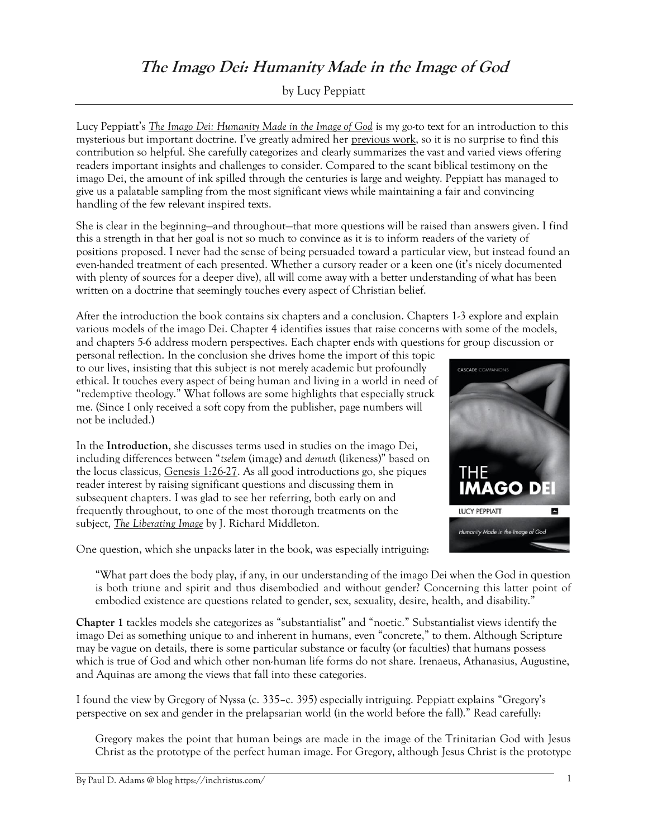by Lucy Peppiatt

Lucy Peppiatt's *[The Imago Dei: Humanity Made in the Image of God](https://amzn.to/3L2rq2Y)* is my go-to text for an introduction to this mysterious but important doctrine. I've greatly admired her [previous work,](https://inchristus.substack.com/p/scriptures-vision-for-women) so it is no surprise to find this contribution so helpful. She carefully categorizes and clearly summarizes the vast and varied views offering readers important insights and challenges to consider. Compared to the scant biblical testimony on the imago Dei, the amount of ink spilled through the centuries is large and weighty. Peppiatt has managed to give us a palatable sampling from the most significant views while maintaining a fair and convincing handling of the few relevant inspired texts.

She is clear in the beginning—and throughout—that more questions will be raised than answers given. I find this a strength in that her goal is not so much to convince as it is to inform readers of the variety of positions proposed. I never had the sense of being persuaded toward a particular view, but instead found an even-handed treatment of each presented. Whether a cursory reader or a keen one (it's nicely documented with plenty of sources for a deeper dive), all will come away with a better understanding of what has been written on a doctrine that seemingly touches every aspect of Christian belief.

After the introduction the book contains six chapters and a conclusion. Chapters 1-3 explore and explain various models of the imago Dei. Chapter 4 identifies issues that raise concerns with some of the models, and chapters 5-6 address modern perspectives. Each chapter ends with questions for group discussion or

personal reflection. In the conclusion she drives home the import of this topic to our lives, insisting that this subject is not merely academic but profoundly ethical. It touches every aspect of being human and living in a world in need of "redemptive theology." What follows are some highlights that especially struck me. (Since I only received a soft copy from the publisher, page numbers will not be included.)

In the **Introduction**, she discusses terms used in studies on the imago Dei, including differences between "*tselem* (image) and *demuth* (likeness)" based on the locus classicus, [Genesis 1:26-27.](https://biblia.com/bible/nrsv/Gen%201.26-27) As all good introductions go, she piques reader interest by raising significant questions and discussing them in subsequent chapters. I was glad to see her referring, both early on and frequently throughout, to one of the most thorough treatments on the subject, *[The Liberating Image](https://amzn.to/3Nu37fP)* by J. Richard Middleton.

One question, which she unpacks later in the book, was especially intriguing:



"What part does the body play, if any, in our understanding of the imago Dei when the God in question is both triune and spirit and thus disembodied and without gender? Concerning this latter point of embodied existence are questions related to gender, sex, sexuality, desire, health, and disability."

**Chapter 1** tackles models she categorizes as "substantialist" and "noetic." Substantialist views identify the imago Dei as something unique to and inherent in humans, even "concrete," to them. Although Scripture may be vague on details, there is some particular substance or faculty (or faculties) that humans possess which is true of God and which other non-human life forms do not share. Irenaeus, Athanasius, Augustine, and Aquinas are among the views that fall into these categories.

I found the view by Gregory of Nyssa (c. 335–c. 395) especially intriguing. Peppiatt explains "Gregory's perspective on sex and gender in the prelapsarian world (in the world before the fall)." Read carefully:

Gregory makes the point that human beings are made in the image of the Trinitarian God with Jesus Christ as the prototype of the perfect human image. For Gregory, although Jesus Christ is the prototype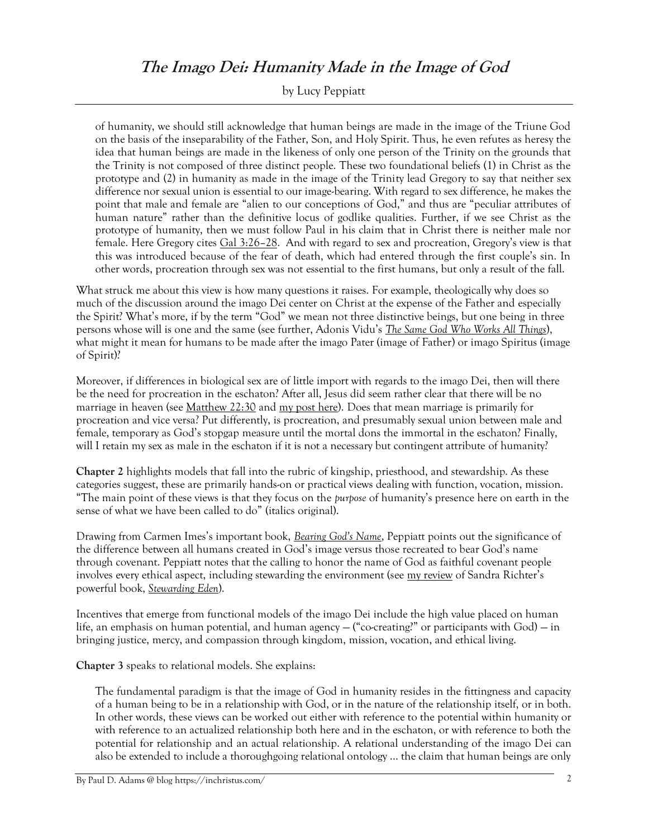#### by Lucy Peppiatt

of humanity, we should still acknowledge that human beings are made in the image of the Triune God on the basis of the inseparability of the Father, Son, and Holy Spirit. Thus, he even refutes as heresy the idea that human beings are made in the likeness of only one person of the Trinity on the grounds that the Trinity is not composed of three distinct people. These two foundational beliefs (1) in Christ as the prototype and (2) in humanity as made in the image of the Trinity lead Gregory to say that neither sex difference nor sexual union is essential to our image-bearing. With regard to sex difference, he makes the point that male and female are "alien to our conceptions of God," and thus are "peculiar attributes of human nature" rather than the definitive locus of godlike qualities. Further, if we see Christ as the prototype of humanity, then we must follow Paul in his claim that in Christ there is neither male nor female. Here Gregory cites [Gal 3:26](https://biblia.com/bible/nrsv/Gal%203.26%E2%80%9328)–28. And with regard to sex and procreation, Gregory's view is that this was introduced because of the fear of death, which had entered through the first couple's sin. In other words, procreation through sex was not essential to the first humans, but only a result of the fall.

What struck me about this view is how many questions it raises. For example, theologically why does so much of the discussion around the imago Dei center on Christ at the expense of the Father and especially the Spirit? What's more, if by the term "God" we mean not three distinctive beings, but one being in three persons whose will is one and the same (see further, Adonis Vidu's *[The Same God Who Works All Things](https://amzn.to/3a4WMsI)*), what might it mean for humans to be made after the imago Pater (image of Father) or imago Spiritus (image of Spirit)?

Moreover, if differences in biological sex are of little import with regards to the imago Dei, then will there be the need for procreation in the eschaton? After all, Jesus did seem rather clear that there will be no marriage in heaven (see [Matthew 22:30](https://biblia.com/bible/nrsv/Matt%2022.30) and [my post here\)](https://inchristus.com/2012/08/27/neither-marry-nor-be-given-in-marriage/). Does that mean marriage is primarily for procreation and vice versa? Put differently, is procreation, and presumably sexual union between male and female, temporary as God's stopgap measure until the mortal dons the immortal in the eschaton? Finally, will I retain my sex as male in the eschaton if it is not a necessary but contingent attribute of humanity?

**Chapter 2** highlights models that fall into the rubric of kingship, priesthood, and stewardship. As these categories suggest, these are primarily hands-on or practical views dealing with function, vocation, mission. "The main point of these views is that they focus on the *purpose* of humanity's presence here on earth in the sense of what we have been called to do" (italics original).

Drawing from Carmen Imes's important book, *[Bearing God's Name](https://amzn.to/386JVFM)*, Peppiatt points out the significance of the difference between all humans created in God's image versus those recreated to bear God's name through covenant. Peppiatt notes that the calling to honor the name of God as faithful covenant people involves every ethical aspect, including stewarding the environment (see <u>[my review](https://inchristus.com/2021/01/27/stewards-of-eden/)</u> of Sandra Richter's powerful book, *[Stewarding Eden](https://amzn.to/3tbTZmO)*).

Incentives that emerge from functional models of the imago Dei include the high value placed on human life, an emphasis on human potential, and human agency — ("co-creating?" or participants with God) — in bringing justice, mercy, and compassion through kingdom, mission, vocation, and ethical living.

**Chapter 3** speaks to relational models. She explains:

The fundamental paradigm is that the image of God in humanity resides in the fittingness and capacity of a human being to be in a relationship with God, or in the nature of the relationship itself, or in both. In other words, these views can be worked out either with reference to the potential within humanity or with reference to an actualized relationship both here and in the eschaton, or with reference to both the potential for relationship and an actual relationship. A relational understanding of the imago Dei can also be extended to include a thoroughgoing relational ontology … the claim that human beings are only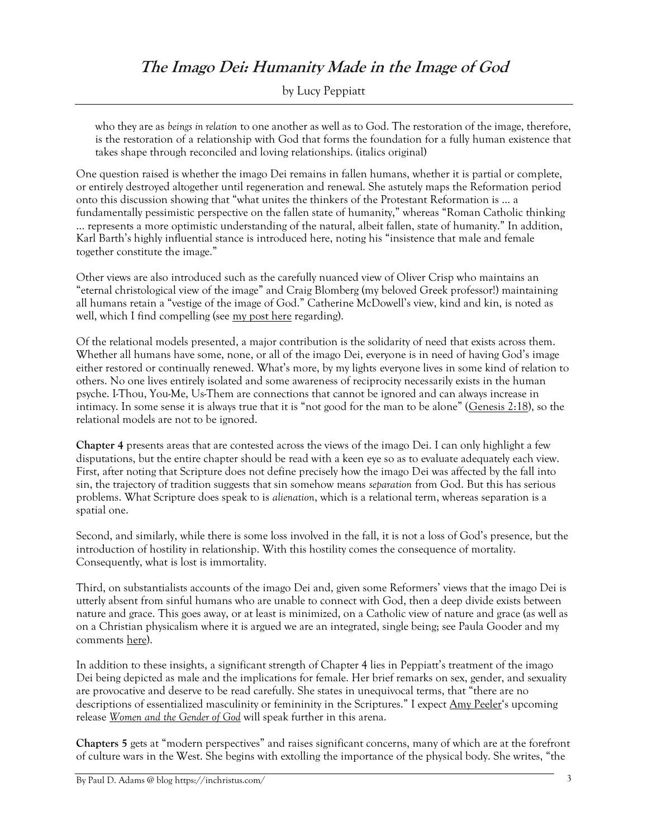by Lucy Peppiatt

who they are as *beings in relation* to one another as well as to God. The restoration of the image, therefore, is the restoration of a relationship with God that forms the foundation for a fully human existence that takes shape through reconciled and loving relationships. (italics original)

One question raised is whether the imago Dei remains in fallen humans, whether it is partial or complete, or entirely destroyed altogether until regeneration and renewal. She astutely maps the Reformation period onto this discussion showing that "what unites the thinkers of the Protestant Reformation is … a fundamentally pessimistic perspective on the fallen state of humanity," whereas "Roman Catholic thinking … represents a more optimistic understanding of the natural, albeit fallen, state of humanity." In addition, Karl Barth's highly influential stance is introduced here, noting his "insistence that male and female together constitute the image."

Other views are also introduced such as the carefully nuanced view of Oliver Crisp who maintains an "eternal christological view of the image" and Craig Blomberg (my beloved Greek professor!) maintaining all humans retain a "vestige of the image of God." Catherine McDowell's view, kind and kin, is noted as well, which I find compelling (see [my post here](https://inchristus.substack.com/p/further-re-the-imago-dei?s=w) regarding).

Of the relational models presented, a major contribution is the solidarity of need that exists across them. Whether all humans have some, none, or all of the imago Dei, everyone is in need of having God's image either restored or continually renewed. What's more, by my lights everyone lives in some kind of relation to others. No one lives entirely isolated and some awareness of reciprocity necessarily exists in the human psyche. I-Thou, You-Me, Us-Them are connections that cannot be ignored and can always increase in intimacy. In some sense it is always true that it is "not good for the man to be alone" ([Genesis 2:18\)](https://biblia.com/bible/nrsv/Gen%202.18), so the relational models are not to be ignored.

**Chapter 4** presents areas that are contested across the views of the imago Dei. I can only highlight a few disputations, but the entire chapter should be read with a keen eye so as to evaluate adequately each view. First, after noting that Scripture does not define precisely how the imago Dei was affected by the fall into sin, the trajectory of tradition suggests that sin somehow means *separation* from God. But this has serious problems. What Scripture does speak to is *alienation*, which is a relational term, whereas separation is a spatial one.

Second, and similarly, while there is some loss involved in the fall, it is not a loss of God's presence, but the introduction of hostility in relationship. With this hostility comes the consequence of mortality. Consequently, what is lost is immortality.

Third, on substantialists accounts of the imago Dei and, given some Reformers' views that the imago Dei is utterly absent from sinful humans who are unable to connect with God, then a deep divide exists between nature and grace. This goes away, or at least is minimized, on a Catholic view of nature and grace (as well as on a Christian physicalism where it is argued we are an integrated, single being; see Paula Gooder and my comments [here\)](https://inchristus.com/2019/08/29/embodied-spirituality/).

In addition to these insights, a significant strength of Chapter 4 lies in Peppiatt's treatment of the imago Dei being depicted as male and the implications for female. Her brief remarks on sex, gender, and sexuality are provocative and deserve to be read carefully. She states in unequivocal terms, that "there are no descriptions of essentialized masculinity or femininity in the Scriptures." I expect [Amy Peeler](https://amypeeler.com/index.html)'s upcoming release *[Women and the Gender of God](https://amzn.to/35rEBvj)* will speak further in this arena.

**Chapters 5** gets at "modern perspectives" and raises significant concerns, many of which are at the forefront of culture wars in the West. She begins with extolling the importance of the physical body. She writes, "the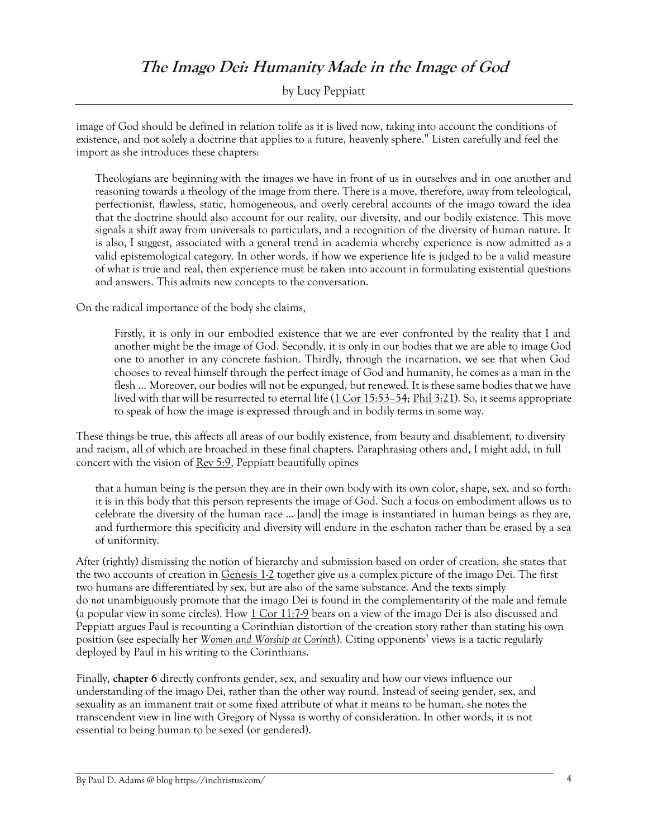by Lucy Peppiatt

image of God should be defined in relation tolife as it is lived now, taking into account the conditions of existence, and not solely a doctrine that applies to a future, heavenly sphere." Listen carefully and feel the import as she introduces these chapters:

Theologians are beginning with the images we have in front of us in ourselves and in one another and reasoning towards a theology of the image from there. There is a move, therefore, away from teleological, perfectionist, flawless, static, homogeneous, and overly cerebral accounts of the imago toward the idea that the doctrine should also account for our reality, our diversity, and our bodily existence. This move signals a shift away from universals to particulars, and a recognition of the diversity of human nature. It is also, I suggest, associated with a general trend in academia whereby experience is now admitted as a valid epistemological category. In other words, if how we experience life is judged to be a valid measure of what is true and real, then experience must be taken into account in formulating existential questions and answers. This admits new concepts to the conversation.

On the radical importance of the body she claims,

Firstly, it is only in our embodied existence that we are ever confronted by the reality that I and another might be the image of God. Secondly, it is only in our bodies that we are able to image God one to another in any concrete fashion. Thirdly, through the incarnation, we see that when God chooses to reveal himself through the perfect image of God and humanity, he comes as a man in the flesh … Moreover, our bodies will not be expunged, but renewed. It is these same bodies that we have lived with that will be resurrected to eternal life [\(1 Cor 15:53](https://biblia.com/bible/nrsv/1%20Cor%2015.53%E2%80%9354)–54; [Phil 3:21\)](https://biblia.com/bible/nrsv/Phil%203.21). So, it seems appropriate to speak of how the image is expressed through and in bodily terms in some way.

These things be true, this affects all areas of our bodily existence, from beauty and disablement, to diversity and racism, all of which are broached in these final chapters. Paraphrasing others and, I might add, in full concert with the vision of [Rev 5:9,](https://biblia.com/bible/nrsv/Rev%205.9) Peppiatt beautifully opines

that a human being is the person they are in their own body with its own color, shape, sex, and so forth: it is in this body that this person represents the image of God. Such a focus on embodiment allows us to celebrate the diversity of the human race … [and] the image is instantiated in human beings as they are, and furthermore this specificity and diversity will endure in the eschaton rather than be erased by a sea of uniformity.

After (rightly) dismissing the notion of hierarchy and submission based on order of creation, she states that the two accounts of creation in [Genesis 1-2](https://biblia.com/bible/nrsv/Gen%201-2) together give us a complex picture of the imago Dei. The first two humans are differentiated by sex, but are also of the same substance. And the texts simply do *not* unambiguously promote that the imago Dei is found in the complementarity of the male and female (a popular view in some circles). How  $1$  Cor  $11:7.9$  bears on a view of the imago Dei is also discussed and Peppiatt argues Paul is recounting a Corinthian distortion of the creation story rather than stating his own position (see especially her *[Women and Worship at Corinth](https://amzn.to/3LAm5zX)*). Citing opponents' views is a tactic regularly deployed by Paul in his writing to the Corinthians.

Finally, **chapter 6** directly confronts gender, sex, and sexuality and how our views influence our understanding of the imago Dei, rather than the other way round. Instead of seeing gender, sex, and sexuality as an immanent trait or some fixed attribute of what it means to be human, she notes the transcendent view in line with Gregory of Nyssa is worthy of consideration. In other words, it is not essential to being human to be sexed (or gendered).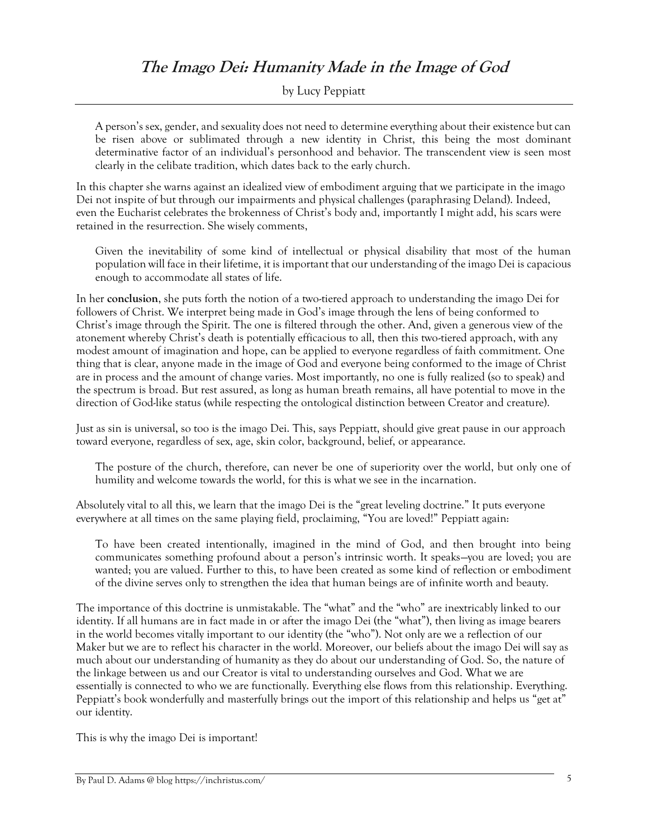by Lucy Peppiatt

A person's sex, gender, and sexuality does not need to determine everything about their existence but can be risen above or sublimated through a new identity in Christ, this being the most dominant determinative factor of an individual's personhood and behavior. The transcendent view is seen most clearly in the celibate tradition, which dates back to the early church.

In this chapter she warns against an idealized view of embodiment arguing that we participate in the imago Dei not inspite of but through our impairments and physical challenges (paraphrasing Deland). Indeed, even the Eucharist celebrates the brokenness of Christ's body and, importantly I might add, his scars were retained in the resurrection. She wisely comments,

Given the inevitability of some kind of intellectual or physical disability that most of the human population will face in their lifetime, it is important that our understanding of the imago Dei is capacious enough to accommodate all states of life.

In her **conclusion**, she puts forth the notion of a two-tiered approach to understanding the imago Dei for followers of Christ. We interpret being made in God's image through the lens of being conformed to Christ's image through the Spirit. The one is filtered through the other. And, given a generous view of the atonement whereby Christ's death is potentially efficacious to all, then this two-tiered approach, with any modest amount of imagination and hope, can be applied to everyone regardless of faith commitment. One thing that is clear, anyone made in the image of God and everyone being conformed to the image of Christ are in process and the amount of change varies. Most importantly, no one is fully realized (so to speak) and the spectrum is broad. But rest assured, as long as human breath remains, all have potential to move in the direction of God-like status (while respecting the ontological distinction between Creator and creature).

Just as sin is universal, so too is the imago Dei. This, says Peppiatt, should give great pause in our approach toward everyone, regardless of sex, age, skin color, background, belief, or appearance.

The posture of the church, therefore, can never be one of superiority over the world, but only one of humility and welcome towards the world, for this is what we see in the incarnation.

Absolutely vital to all this, we learn that the imago Dei is the "great leveling doctrine." It puts everyone everywhere at all times on the same playing field, proclaiming, "You are loved!" Peppiatt again:

To have been created intentionally, imagined in the mind of God, and then brought into being communicates something profound about a person's intrinsic worth. It speaks—you are loved; you are wanted; you are valued. Further to this, to have been created as some kind of reflection or embodiment of the divine serves only to strengthen the idea that human beings are of infinite worth and beauty.

The importance of this doctrine is unmistakable. The "what" and the "who" are inextricably linked to our identity. If all humans are in fact made in or after the imago Dei (the "what"), then living as image bearers in the world becomes vitally important to our identity (the "who"). Not only are we a reflection of our Maker but we are to reflect his character in the world. Moreover, our beliefs about the imago Dei will say as much about our understanding of humanity as they do about our understanding of God. So, the nature of the linkage between us and our Creator is vital to understanding ourselves and God. What we are essentially is connected to who we are functionally. Everything else flows from this relationship. Everything. Peppiatt's book wonderfully and masterfully brings out the import of this relationship and helps us "get at" our identity.

This is why the imago Dei is important!